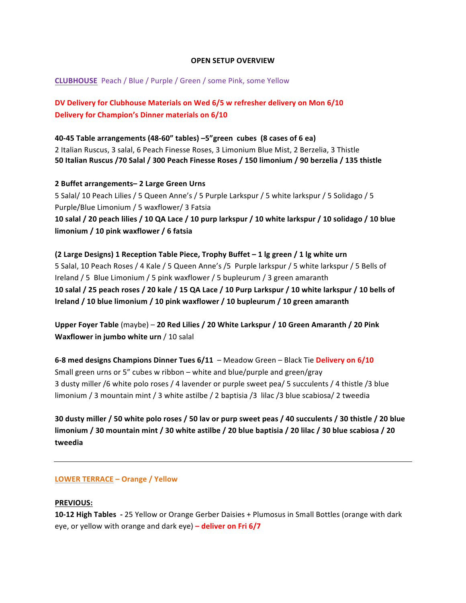### **OPEN SETUP OVERVIEW**

**CLUBHOUSE** Peach / Blue / Purple / Green / some Pink, some Yellow

DV Delivery for Clubhouse Materials on Wed 6/5 w refresher delivery on Mon 6/10 **Delivery for Champion's Dinner materials on 6/10** 

**40-45 Table arrangements (48-60" tables) –5"green cubes (8 cases of 6 ea)** 2 Italian Ruscus, 3 salal, 6 Peach Finesse Roses, 3 Limonium Blue Mist, 2 Berzelia, 3 Thistle **50 Italian Ruscus /70 Salal / 300 Peach Finesse Roses / 150 limonium / 90 berzelia / 135 thistle**

**2 Buffet arrangements– 2 Large Green Urns** 5 Salal/ 10 Peach Lilies / 5 Queen Anne's / 5 Purple Larkspur / 5 white larkspur / 5 Solidago / 5 Purple/Blue Limonium / 5 waxflower/ 3 Fatsia **10 salal / 20 peach lilies / 10 QA Lace / 10 purp larkspur / 10 white larkspur / 10 solidago / 10 blue limonium / 10 pink waxflower / 6 fatsia**

**(2 Large Designs) 1 Reception Table Piece, Trophy Buffet - 1 lg green / 1 lg white urn** 5 Salal, 10 Peach Roses / 4 Kale / 5 Queen Anne's / 5 Purple larkspur / 5 white larkspur / 5 Bells of Ireland / 5 Blue Limonium / 5 pink waxflower / 5 bupleurum / 3 green amaranth **10** salal / 25 peach roses / 20 kale / 15 QA Lace / 10 Purp Larkspur / 10 white larkspur / 10 bells of **Ireland** / 10 blue limonium / 10 pink waxflower / 10 bupleurum / 10 green amaranth

Upper Foyer Table (maybe) – 20 Red Lilies / 20 White Larkspur / 10 Green Amaranth / 20 Pink **Waxflower in jumbo white urn / 10 salal** 

**6-8 med designs Champions Dinner Tues 6/11** – Meadow Green – Black Tie Delivery on 6/10 Small green urns or 5" cubes w ribbon – white and blue/purple and green/gray 3 dusty miller /6 white polo roses / 4 lavender or purple sweet pea/ 5 succulents / 4 thistle /3 blue limonium / 3 mountain mint / 3 white astilbe / 2 baptisia / 3 lilac / 3 blue scabiosa / 2 tweedia

**30** dusty miller / 50 white polo roses / 50 lav or purp sweet peas / 40 succulents / 30 thistle / 20 blue **limonium** / 30 mountain mint / 30 white astilbe / 20 blue baptisia / 20 lilac / 30 blue scabiosa / 20 **tweedia**

# **LOWER TERRACE – Orange / Yellow**

# **PREVIOUS:**

**10-12 High Tables** - 25 Yellow or Orange Gerber Daisies + Plumosus in Small Bottles (orange with dark eye, or yellow with orange and dark eye) – **deliver on Fri 6/7**